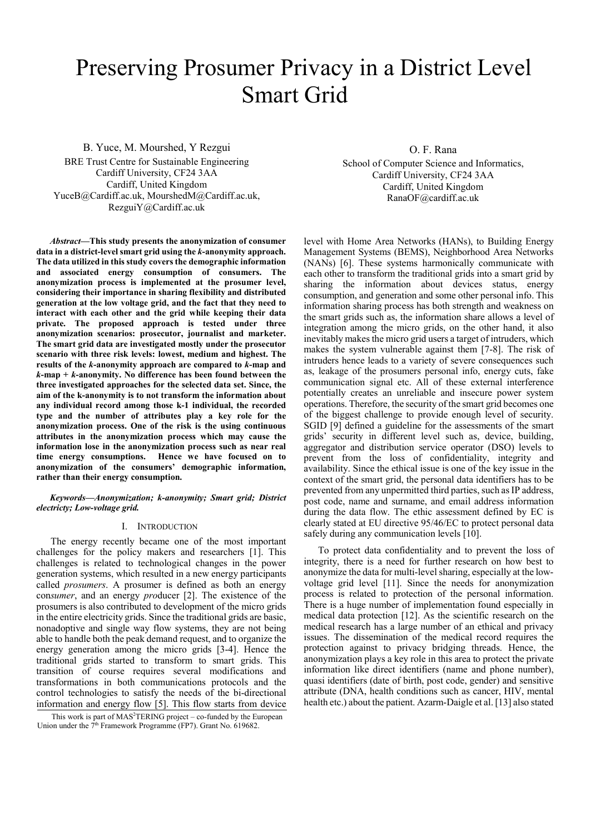# Preserving Prosumer Privacy in a District Level Smart Grid

B. Yuce, M. Mourshed, Y Rezgui BRE Trust Centre for Sustainable Engineering Cardiff University, CF24 3AA Cardiff, United Kingdom YuceB@Cardiff.ac.uk, MourshedM@Cardiff.ac.uk, RezguiY@Cardiff.ac.uk

*Abstract*—This study presents the anonymization of consumer data in a district-level smart grid using the *k*-anonymity approach. The data utilized in this study covers the demographic information and associated energy consumption of consumers. The anonymization process is implemented at the prosumer level, considering their importance in sharing flexibility and distributed generation at the low voltage grid, and the fact that they need to interact with each other and the grid while keeping their data private. The proposed approach is tested under three anonymization scenarios: prosecutor, journalist and marketer. The smart grid data are investigated mostly under the prosecutor scenario with three risk levels: lowest, medium and highest. The results of the *k*-anonymity approach are compared to *k*-map and *k*-map + *k*-anonymity. No difference has been found between the three investigated approaches for the selected data set. Since, the aim of the k-anonymity is to not transform the information about any individual record among those k-1 individual, the recorded type and the number of attributes play a key role for the anonymization process. One of the risk is the using continuous attributes in the anonymization process which may cause the information lose in the anonymization process such as near real time energy consumptions. Hence we have focused on to anonymization of the consumers' demographic information, rather than their energy consumption.

## *Keywords—Anonymization; k-anonymity; Smart grid; District electricty; Low-voltage grid.*

### I. INTRODUCTION

The energy recently became one of the most important challenges for the policy makers and researchers [1]. This challenges is related to technological changes in the power generation systems, which resulted in a new energy participants called *prosumers*. A prosumer is defined as both an energy con*sumer*, and an energy *pro*ducer [2]. The existence of the prosumers is also contributed to development of the micro grids in the entire electricity grids. Since the traditional grids are basic, nonadoptive and single way flow systems, they are not being able to handle both the peak demand request, and to organize the energy generation among the micro grids [3-4]. Hence the traditional grids started to transform to smart grids. This transition of course requires several modifications and transformations in both communications protocols and the control technologies to satisfy the needs of the bi-directional information and energy flow [5]. This flow starts from device O. F. Rana

School of Computer Science and Informatics, Cardiff University, CF24 3AA Cardiff, United Kingdom RanaOF@cardiff.ac.uk

level with Home Area Networks (HANs), to Building Energy Management Systems (BEMS), Neighborhood Area Networks (NANs) [6]. These systems harmonically communicate with each other to transform the traditional grids into a smart grid by sharing the information about devices status, energy consumption, and generation and some other personal info. This information sharing process has both strength and weakness on the smart grids such as, the information share allows a level of integration among the micro grids, on the other hand, it also inevitably makes the micro grid users a target of intruders, which makes the system vulnerable against them [7-8]. The risk of intruders hence leads to a variety of severe consequences such as, leakage of the prosumers personal info, energy cuts, fake communication signal etc. All of these external interference potentially creates an unreliable and insecure power system operations. Therefore, the security of the smart grid becomes one of the biggest challenge to provide enough level of security. SGID [9] defined a guideline for the assessments of the smart grids' security in different level such as, device, building, aggregator and distribution service operator (DSO) levels to prevent from the loss of confidentiality, integrity and availability. Since the ethical issue is one of the key issue in the context of the smart grid, the personal data identifiers has to be prevented from any unpermitted third parties, such as IP address, post code, name and surname, and email address information during the data flow. The ethic assessment defined by EC is clearly stated at EU directive 95/46/EC to protect personal data safely during any communication levels [10].

To protect data confidentiality and to prevent the loss of integrity, there is a need for further research on how best to anonymize the data for multi-level sharing, especially at the lowvoltage grid level [11]. Since the needs for anonymization process is related to protection of the personal information. There is a huge number of implementation found especially in medical data protection [12]. As the scientific research on the medical research has a large number of an ethical and privacy issues. The dissemination of the medical record requires the protection against to privacy bridging threads. Hence, the anonymization plays a key role in this area to protect the private information like direct identifiers (name and phone number), quasi identifiers (date of birth, post code, gender) and sensitive attribute (DNA, health conditions such as cancer, HIV, mental health etc.) about the patient. Azarm-Daigle et al. [13] also stated

This work is part of  $MAS<sup>2</sup>TERING project – co-fanded by the European$ Union under the  $7<sup>th</sup>$  Framework Programme (FP7). Grant No. 619682.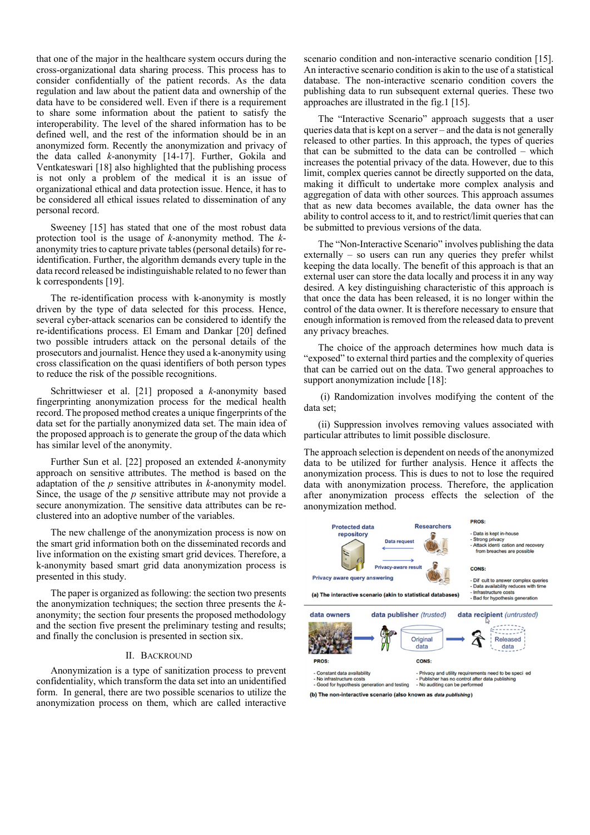that one of the major in the healthcare system occurs during the cross-organizational data sharing process. This process has to consider confidentially of the patient records. As the data regulation and law about the patient data and ownership of the data have to be considered well. Even if there is a requirement to share some information about the patient to satisfy the interoperability. The level of the shared information has to be defined well, and the rest of the information should be in an anonymized form. Recently the anonymization and privacy of the data called *k*-anonymity [14-17]. Further, Gokila and Ventkateswari [18] also highlighted that the publishing process is not only a problem of the medical it is an issue of organizational ethical and data protection issue. Hence, it has to be considered all ethical issues related to dissemination of any personal record.

Sweeney [15] has stated that one of the most robust data protection tool is the usage of *k*-anonymity method. The *k*anonymity tries to capture private tables (personal details) for reidentification. Further, the algorithm demands every tuple in the data record released be indistinguishable related to no fewer than k correspondents [19].

The re-identification process with k-anonymity is mostly driven by the type of data selected for this process. Hence, several cyber-attack scenarios can be considered to identify the re-identifications process. El Emam and Dankar [20] defined two possible intruders attack on the personal details of the prosecutors and journalist. Hence they used a k-anonymity using cross classification on the quasi identifiers of both person types to reduce the risk of the possible recognitions.

Schrittwieser et al. [21] proposed a *k*-anonymity based fingerprinting anonymization process for the medical health record. The proposed method creates a unique fingerprints of the data set for the partially anonymized data set. The main idea of the proposed approach is to generate the group of the data which has similar level of the anonymity.

Further Sun et al. [22] proposed an extended *k*-anonymity approach on sensitive attributes. The method is based on the adaptation of the *p* sensitive attributes in *k*-anonymity model. Since, the usage of the *p* sensitive attribute may not provide a secure anonymization. The sensitive data attributes can be reclustered into an adoptive number of the variables.

The new challenge of the anonymization process is now on the smart grid information both on the disseminated records and live information on the existing smart grid devices. Therefore, a k-anonymity based smart grid data anonymization process is presented in this study.

The paper is organized as following: the section two presents the anonymization techniques; the section three presents the *k*anonymity; the section four presents the proposed methodology and the section five present the preliminary testing and results; and finally the conclusion is presented in section six.

# II. BACKROUND

Anonymization is a type of sanitization process to prevent confidentiality, which transform the data set into an unidentified form. In general, there are two possible scenarios to utilize the anonymization process on them, which are called interactive

scenario condition and non-interactive scenario condition [15]. An interactive scenario condition is akin to the use of a statistical database. The non-interactive scenario condition covers the publishing data to run subsequent external queries. These two approaches are illustrated in the fig.1 [15].

The "Interactive Scenario" approach suggests that a user queries data that is kept on a server – and the data is not generally released to other parties. In this approach, the types of queries that can be submitted to the data can be controlled – which increases the potential privacy of the data. However, due to this limit, complex queries cannot be directly supported on the data, making it difficult to undertake more complex analysis and aggregation of data with other sources. This approach assumes that as new data becomes available, the data owner has the ability to control access to it, and to restrict/limit queries that can be submitted to previous versions of the data.

The "Non-Interactive Scenario" involves publishing the data externally – so users can run any queries they prefer whilst keeping the data locally. The benefit of this approach is that an external user can store the data locally and process it in any way desired. A key distinguishing characteristic of this approach is that once the data has been released, it is no longer within the control of the data owner. It is therefore necessary to ensure that enough information is removed from the released data to prevent any privacy breaches.

The choice of the approach determines how much data is "exposed" to external third parties and the complexity of queries that can be carried out on the data. Two general approaches to support anonymization include [18]:

(i) Randomization involves modifying the content of the data set;

(ii) Suppression involves removing values associated with particular attributes to limit possible disclosure.

The approach selection is dependent on needs of the anonymized data to be utilized for further analysis. Hence it affects the anonymization process. This is dues to not to lose the required data with anonymization process. Therefore, the application after anonymization process effects the selection of the anonymization method.



(b) The non-interactive scenario (also known as data publishing)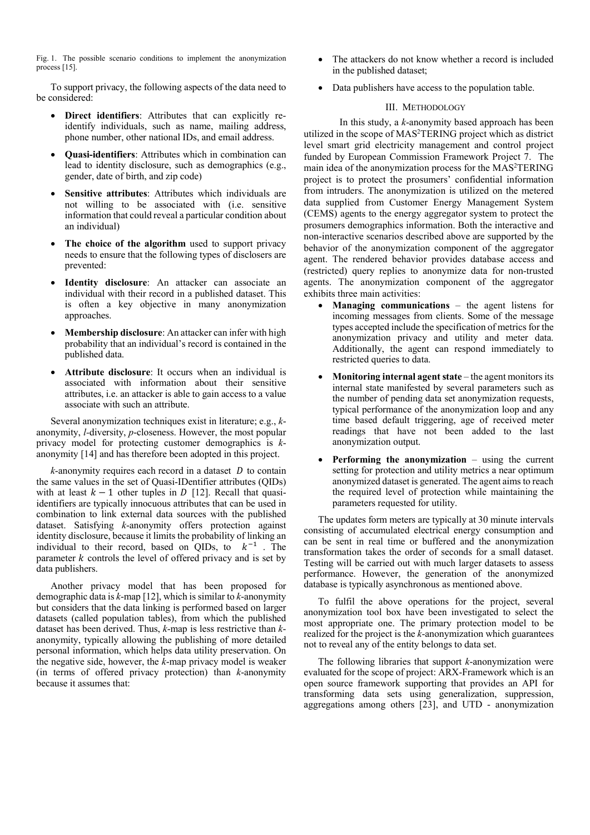Fig. 1. The possible scenario conditions to implement the anonymization process [15].

To support privacy, the following aspects of the data need to be considered:

- Direct identifiers: Attributes that can explicitly reidentify individuals, such as name, mailing address, phone number, other national IDs, and email address.
- Quasi-identifiers: Attributes which in combination can lead to identity disclosure, such as demographics (e.g., gender, date of birth, and zip code)
- Sensitive attributes: Attributes which individuals are not willing to be associated with (i.e. sensitive information that could reveal a particular condition about an individual)
- The choice of the algorithm used to support privacy needs to ensure that the following types of disclosers are prevented:
- Identity disclosure: An attacker can associate an individual with their record in a published dataset. This is often a key objective in many anonymization approaches.
- Membership disclosure: An attacker can infer with high probability that an individual's record is contained in the published data.
- Attribute disclosure: It occurs when an individual is associated with information about their sensitive attributes, i.e. an attacker is able to gain access to a value associate with such an attribute.

Several anonymization techniques exist in literature; e.g., *k*anonymity, *l-*diversity, *p*-closeness. However, the most popular privacy model for protecting customer demographics is *k*anonymity [14] and has therefore been adopted in this project.

 $k$ -anonymity requires each record in a dataset  $D$  to contain the same values in the set of Quasi-IDentifier attributes (QIDs) with at least  $k - 1$  other tuples in  $D$  [12]. Recall that quasiidentifiers are typically innocuous attributes that can be used in combination to link external data sources with the published dataset. Satisfying *k*-anonymity offers protection against identity disclosure, because it limits the probability of linking an individual to their record, based on QIDs, to  $k^{-1}$ . The parameter  $k$  controls the level of offered privacy and is set by data publishers.

Another privacy model that has been proposed for demographic data is *k*-map [12], which is similar to *k*-anonymity but considers that the data linking is performed based on larger datasets (called population tables), from which the published dataset has been derived. Thus, *k*-map is less restrictive than *k*anonymity, typically allowing the publishing of more detailed personal information, which helps data utility preservation. On the negative side, however, the *k*-map privacy model is weaker (in terms of offered privacy protection) than *k*-anonymity because it assumes that:

- The attackers do not know whether a record is included in the published dataset;
- Data publishers have access to the population table.

# III. METHODOLOGY

In this study, a *k*-anonymity based approach has been utilized in the scope of MAS2 TERING project which as district level smart grid electricity management and control project funded by European Commission Framework Project 7. The main idea of the anonymization process for the MAS<sup>2</sup>TERING project is to protect the prosumers' confidential information from intruders. The anonymization is utilized on the metered data supplied from Customer Energy Management System (CEMS) agents to the energy aggregator system to protect the prosumers demographics information. Both the interactive and non-interactive scenarios described above are supported by the behavior of the anonymization component of the aggregator agent. The rendered behavior provides database access and (restricted) query replies to anonymize data for non-trusted agents. The anonymization component of the aggregator exhibits three main activities:

- Managing communications the agent listens for incoming messages from clients. Some of the message types accepted include the specification of metrics for the anonymization privacy and utility and meter data. Additionally, the agent can respond immediately to restricted queries to data.
- Monitoring internal agent state the agent monitors its internal state manifested by several parameters such as the number of pending data set anonymization requests, typical performance of the anonymization loop and any time based default triggering, age of received meter readings that have not been added to the last anonymization output.
- Performing the anonymization using the current setting for protection and utility metrics a near optimum anonymized dataset is generated. The agent aims to reach the required level of protection while maintaining the parameters requested for utility.

The updates form meters are typically at 30 minute intervals consisting of accumulated electrical energy consumption and can be sent in real time or buffered and the anonymization transformation takes the order of seconds for a small dataset. Testing will be carried out with much larger datasets to assess performance. However, the generation of the anonymized database is typically asynchronous as mentioned above.

To fulfil the above operations for the project, several anonymization tool box have been investigated to select the most appropriate one. The primary protection model to be realized for the project is the *k*-anonymization which guarantees not to reveal any of the entity belongs to data set.

The following libraries that support *k*-anonymization were evaluated for the scope of project: ARX-Framework which is an open source framework supporting that provides an API for transforming data sets using generalization, suppression, aggregations among others [23], and UTD - anonymization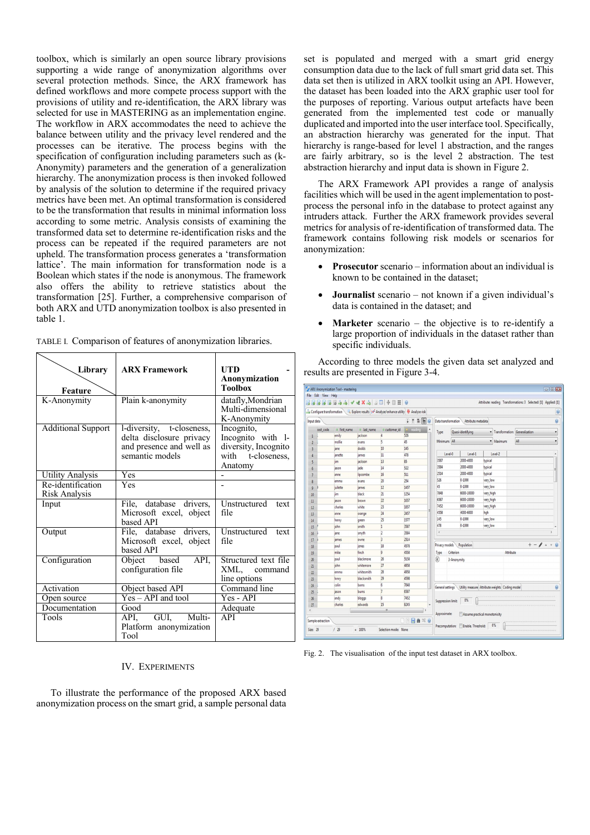toolbox, which is similarly an open source library provisions supporting a wide range of anonymization algorithms over several protection methods. Since, the ARX framework has defined workflows and more compete process support with the provisions of utility and re-identification, the ARX library was selected for use in MASTERING as an implementation engine. The workflow in ARX accommodates the need to achieve the balance between utility and the privacy level rendered and the processes can be iterative. The process begins with the specification of configuration including parameters such as (k-Anonymity) parameters and the generation of a generalization hierarchy. The anonymization process is then invoked followed by analysis of the solution to determine if the required privacy metrics have been met. An optimal transformation is considered to be the transformation that results in minimal information loss according to some metric. Analysis consists of examining the transformed data set to determine re-identification risks and the process can be repeated if the required parameters are not upheld. The transformation process generates a 'transformation lattice'. The main information for transformation node is a Boolean which states if the node is anonymous. The framework also offers the ability to retrieve statistics about the transformation [25]. Further, a comprehensive comparison of both ARX and UTD anonymization toolbox is also presented in table 1.

| TABLE I. Comparison of features of anonymization libraries. |  |  |
|-------------------------------------------------------------|--|--|
|                                                             |  |  |

| Library<br>Feature                        | <b>ARX Framework</b>                                                                                                  | UTD<br>Anonymization<br><b>Toolbox</b>                                                  |
|-------------------------------------------|-----------------------------------------------------------------------------------------------------------------------|-----------------------------------------------------------------------------------------|
| $\overline{K}$ -Anonymity                 | Plain k-anonymity                                                                                                     | datafly, Mondrian<br>Multi-dimensional<br>K-Anonymity                                   |
| <b>Additional Support</b>                 | $1$ -diversity, $\overline{t}$ -closeness,<br>delta disclosure privacy<br>and presence and well as<br>semantic models | Incognito,<br>Incognito with 1-<br>diversity, Incognito<br>with t-closeness,<br>Anatomy |
| <b>Utility Analysis</b>                   | Yes                                                                                                                   |                                                                                         |
| Re-identification<br><b>Risk Analysis</b> | <b>Yes</b>                                                                                                            |                                                                                         |
| Input                                     | File, database drivers,<br>Microsoft excel, object<br>based API                                                       | Unstructured<br>text<br>file                                                            |
| Output                                    | File, database drivers,<br>Microsoft excel, object<br>based API                                                       | Unstructured<br>text<br>file                                                            |
| Configuration                             | Object based<br>API.<br>configuration file                                                                            | Structured text file<br>XML. command<br>line options                                    |
| Activation                                | Object based API                                                                                                      | Command line                                                                            |
| Open source                               | $Yes - API$ and tool                                                                                                  | Yes - API                                                                               |
| Documentation                             | Good                                                                                                                  | Adequate                                                                                |
| Tools                                     | API, GUI,<br>Multi-<br>Platform anonymization<br>Tool                                                                 | <b>API</b>                                                                              |

### IV. EXPERIMENTS

To illustrate the performance of the proposed ARX based anonymization process on the smart grid, a sample personal data set is populated and merged with a smart grid energy consumption data due to the lack of full smart grid data set. This data set then is utilized in ARX toolkit using an API. However, the dataset has been loaded into the ARX graphic user tool for the purposes of reporting. Various output artefacts have been generated from the implemented test code or manually duplicated and imported into the user interface tool. Specifically, an abstraction hierarchy was generated for the input. That hierarchy is range-based for level 1 abstraction, and the ranges are fairly arbitrary, so is the level 2 abstraction. The test abstraction hierarchy and input data is shown in Figure 2.

The ARX Framework API provides a range of analysis facilities which will be used in the agent implementation to postprocess the personal info in the database to protect against any intruders attack. Further the ARX framework provides several metrics for analysis of re-identification of transformed data. The framework contains following risk models or scenarios for anonymization:

- Prosecutor scenario information about an individual is known to be contained in the dataset;
- Journalist scenario not known if a given individual's data is contained in the dataset; and
- Marketer scenario the objective is to re-identify a large proportion of individuals in the dataset rather than specific individuals.

According to three models the given data set analyzed and results are presented in Figure 3-4.

| Configure transformation |              |             | Explore results >v <sup>2</sup> Analyze/enhance utility   Analyze risk |                  |   |                     |             |                               |           |                                                |             |   |
|--------------------------|--------------|-------------|------------------------------------------------------------------------|------------------|---|---------------------|-------------|-------------------------------|-----------|------------------------------------------------|-------------|---|
| Input data               |              |             |                                                                        | $T = 0$          |   | Data transformation |             | Attribute metadata            |           |                                                |             | Ø |
| vost code                | o first name | o last name | · customer_id                                                          | <b>i</b> reading |   | Type:               |             | Quasi-identifying             |           | · Transformation: Generalization               |             | ۰ |
| 1                        | emily        | jackson     | 4                                                                      | 526              |   |                     |             |                               |           |                                                |             |   |
| $\overline{c}$           | mollie       | evans       | 5                                                                      | 45               |   | Minimum: All        |             |                               |           | · Maximum:                                     | All         | ٠ |
| $\overline{3}$           | jane         | dodds       | 10                                                                     | 145              |   |                     |             |                               |           |                                                |             | ۸ |
| 4                        | janette      | james       | $\overline{11}$                                                        | 478              |   | Level-0             |             | Level-1                       |           | Level-2                                        |             |   |
| 5                        | jim          | jackson     | 13                                                                     | 85               |   | 3587                |             | 2000-4000                     | typical   |                                                |             |   |
| 6                        | jason        | jade        | 14                                                                     | 522              |   | 3584                |             | 2000-4000                     | typical   |                                                |             |   |
| ŋ                        | anne         | lipcombe    | 16                                                                     | 511              |   | 2514                |             | 2000-4000                     | typical   |                                                |             |   |
| 8                        | emma         | evans       | 20                                                                     | 254              |   | 526                 |             | $0 - 1000$                    | very_low  |                                                |             |   |
| $\overline{9}$           | juilette     | james       | 12                                                                     | 1457             |   | 45                  |             | $0 - 1000$                    | very_low  |                                                |             |   |
| 10                       | jim          | black       | $\overline{21}$                                                        | 1254             |   | 7848                |             | 6000-10000                    | very_high |                                                |             |   |
| 11                       | jason        | brown       | 22                                                                     | 1657             |   | 6587                |             | 6000-10000                    | very_high |                                                |             |   |
| 12                       | charles      | white       | 23                                                                     | 1857             | É | 7452                |             | 6000-10000                    | very_high |                                                |             |   |
| 13                       | anne         | orange      | 24                                                                     | 2457             |   | 4558                |             | 4000-6000                     | hgh       |                                                |             |   |
| 14                       | henry        | green       | 25                                                                     | 1577             |   | 145                 |             | $0 - 1000$                    | very_low  |                                                |             |   |
| 15                       | john         | smith       | 1                                                                      | 3587             |   | 478                 |             | $0 - 1000$                    | very_low  |                                                |             |   |
| 16                       | jane         | smyth       | $\overline{2}$                                                         | 3584             |   | $\epsilon$          |             |                               |           |                                                |             |   |
| 17                       | james        | owne        | B                                                                      | 2514             |   |                     |             |                               |           |                                                |             |   |
| 18                       | paul         | jones       | 18                                                                     | 4578             |   | Privacy models      |             | Population                    |           |                                                | $+ - 1 - 9$ |   |
| 19                       | mike         | finch       | 9                                                                      | 4558             |   | Type                | Criterion   |                               |           | Attribute                                      |             |   |
| 20                       | paul         | blackmore   | 26                                                                     | 5158             |   | $\circledR$         | 3-Anonymity |                               |           |                                                |             |   |
| 21                       | john         | whitemore   | 27                                                                     | 4858             |   |                     |             |                               |           |                                                |             |   |
| 22                       | emma         | whitesmith  | 28                                                                     | 4958             |   |                     |             |                               |           |                                                |             |   |
| 23                       | hrnry        | blacksmith  | 29                                                                     | 4598             |   |                     |             |                               |           |                                                |             |   |
| 24                       | colin        | barns       | 6                                                                      | 7848             |   | General settings    |             |                               |           | Utility measure Attribute weights Coding model |             |   |
| 25                       | jason        | burns       | 7                                                                      | 6587             |   |                     |             |                               |           |                                                |             |   |
| 26                       | andy         | bloggs      | $\overline{8}$                                                         | 7452             |   | Suppression limit:  |             | 0%                            |           |                                                |             |   |
| 27                       | charles      | edwards     | 15                                                                     | 8245             |   |                     |             |                               |           |                                                |             |   |
| ł                        |              |             | m                                                                      |                  |   | Approximate:        |             | Assume practical monotonicity |           |                                                |             |   |

Fig. 2. The visualisation of the input test dataset in ARX toolbox.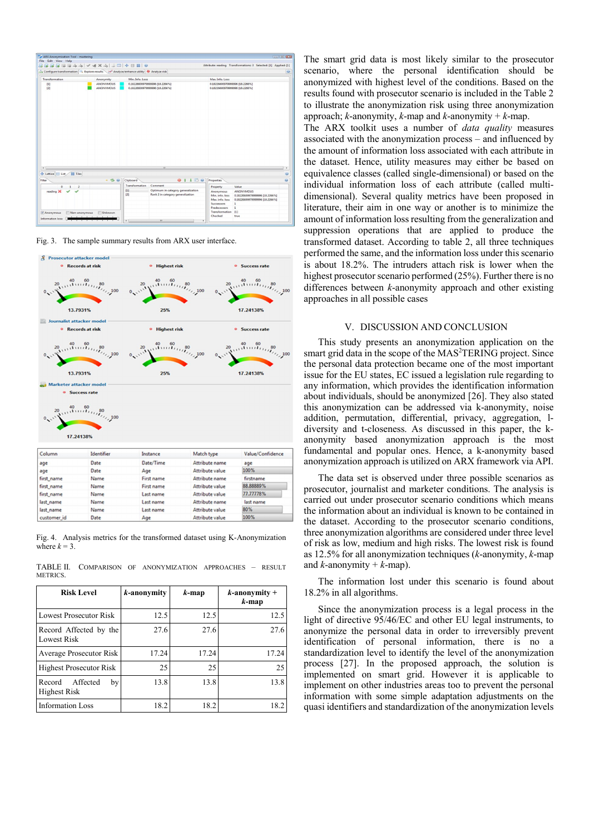| BBBBBB44 V X 4 5 5 8 4 5 8 9                                                                         |                        |                 |                                                                         |                                                                                                                    | Attribute: reading Transformations: 3 Selected: [1] Applied: [1]                                                                |                     |
|------------------------------------------------------------------------------------------------------|------------------------|-----------------|-------------------------------------------------------------------------|--------------------------------------------------------------------------------------------------------------------|---------------------------------------------------------------------------------------------------------------------------------|---------------------|
| Configure transformation Coplore results > $x^2$ Analyze/enhance utility U Analyze risk              |                        |                 |                                                                         |                                                                                                                    |                                                                                                                                 | $\overline{\omega}$ |
| Transformation                                                                                       | Anonymity              | Min. Info. Loss |                                                                         | Max. Info. Loss                                                                                                    |                                                                                                                                 |                     |
| $[1]$<br>[2]                                                                                         | ANONYMOUS<br>ANONYMOUS |                 | 0.18226600979999996 [18.2266%]<br>0.18226600979999996 (18.2266%)        | 0.18226600979999996 [18.2266%]<br>0.18226600979999996 (18.2266%)                                                   |                                                                                                                                 |                     |
|                                                                                                      |                        |                 |                                                                         |                                                                                                                    |                                                                                                                                 |                     |
| $\leftarrow$<br>+ Lattice <b>El List</b> El Tiles<br>Filter                                          | 30<br>ä                | Clipboard       | m                                                                       | Properties                                                                                                         |                                                                                                                                 | ٠<br>$\Omega$<br>a  |
|                                                                                                      |                        | Transformation  | 01100<br>Comment                                                        |                                                                                                                    |                                                                                                                                 |                     |
| $\circ$<br>$\mathbf{1}$<br>$\overline{2}$<br>ab.<br>reading X<br><b>V</b> Anonymous<br>Non-anonymous | Unknown                | $[1]$<br>[2]    | Optimum in category generalization<br>Rank 2 in category generalization | Property<br>Anonymous<br>Min. info. loss<br>Max. info. loss<br><b>Successors</b><br>Predecessors<br>Transformation | Value<br>ANONYMOUS<br>0.18226600979999996 [18.2266%]<br>0.18226600979999996 [18.2266%]<br>$\mathbf{1}$<br>$\overline{1}$<br>[1] |                     |

Fig. 3. The sample summary results from ARX user interface.



| --          |      |            |                 |           |
|-------------|------|------------|-----------------|-----------|
| age         | Date | Age        | Attribute value | 100%      |
| first name  | Name | First name | Attribute name  | firstname |
| first_name  | Name | First name | Attribute value | 88,88889% |
| first_name  | Name | Last name  | Attribute value | 77.77778% |
| last name   | Name | Last name  | Attribute name  | last name |
| last name   | Name | Last name  | Attribute value | 80%       |
| customer id | Date | Age        | Attribute value | 100%      |

Fig. 4. Analysis metrics for the transformed dataset using K-Anonymization where  $k = 3$ .

TABLE II. COMPARISON OF ANONYMIZATION APPROACHES – RESULT **METRICS** 

| <b>Risk Level</b>                        | <i>k</i> -anonymity | k-map | $k$ -anonymity +<br>$k$ -map |
|------------------------------------------|---------------------|-------|------------------------------|
| <b>Lowest Prosecutor Risk</b>            | 12.5                | 12.5  | 12.5                         |
| Record Affected by the<br>Lowest Risk    | 27.6                | 27.6  | 27.6                         |
| Average Prosecutor Risk                  | 17.24               | 17.24 | 17.24                        |
| <b>Highest Prosecutor Risk</b>           | 25                  | 25    | 25                           |
| Affected<br>Record<br>bv<br>Highest Risk | 13.8                | 13.8  | 13.8                         |
| <b>Information Loss</b>                  | 18.2                | 18.2  | 18.2                         |

The smart grid data is most likely similar to the prosecutor scenario, where the personal identification should be anonymized with highest level of the conditions. Based on the results found with prosecutor scenario is included in the Table 2 to illustrate the anonymization risk using three anonymization approach; *k*-anonymity, *k*-map and *k*-anonymity + *k*-map.

The ARX toolkit uses a number of *data quality* measures associated with the anonymization process – and influenced by the amount of information loss associated with each attribute in the dataset. Hence, utility measures may either be based on equivalence classes (called single-dimensional) or based on the individual information loss of each attribute (called multidimensional). Several quality metrics have been proposed in literature, their aim in one way or another is to minimize the amount of information loss resulting from the generalization and suppression operations that are applied to produce the transformed dataset. According to table 2, all three techniques performed the same, and the information loss under this scenario is about 18.2%. The intruders attach risk is lower when the highest prosecutor scenario performed (25%). Further there is no differences between *k*-anonymity approach and other existing approaches in all possible cases

## V. DISCUSSION AND CONCLUSION

This study presents an anonymization application on the smart grid data in the scope of the MAS<sup>2</sup>TERING project. Since the personal data protection became one of the most important issue for the EU states, EC issued a legislation rule regarding to any information, which provides the identification information about individuals, should be anonymized [26]. They also stated this anonymization can be addressed via k-anonymity, noise addition, permutation, differential, privacy, aggregation, ldiversity and t-closeness. As discussed in this paper, the kanonymity based anonymization approach is the most fundamental and popular ones. Hence, a k-anonymity based anonymization approach is utilized on ARX framework via API.

The data set is observed under three possible scenarios as prosecutor, journalist and marketer conditions. The analysis is carried out under prosecutor scenario conditions which means the information about an individual is known to be contained in the dataset. According to the prosecutor scenario conditions, three anonymization algorithms are considered under three level of risk as low, medium and high risks. The lowest risk is found as 12.5% for all anonymization techniques (*k*-anonymity, *k*-map and  $k$ -anonymity  $+k$ -map).

The information lost under this scenario is found about 18.2% in all algorithms.

Since the anonymization process is a legal process in the light of directive 95/46/EC and other EU legal instruments, to anonymize the personal data in order to irreversibly prevent identification of personal information, there is no a standardization level to identify the level of the anonymization process [27]. In the proposed approach, the solution is implemented on smart grid. However it is applicable to implement on other industries areas too to prevent the personal information with some simple adaptation adjustments on the quasi identifiers and standardization of the anonymization levels